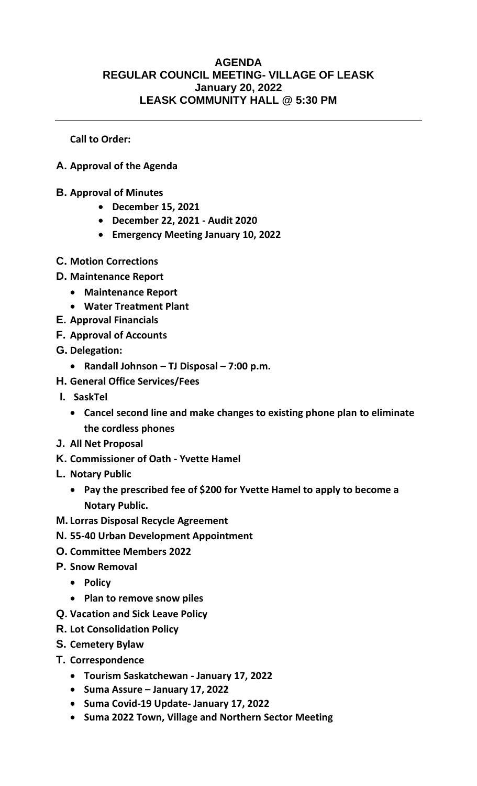## **AGENDA REGULAR COUNCIL MEETING- VILLAGE OF LEASK January 20, 2022 LEASK COMMUNITY HALL @ 5:30 PM**

**Call to Order:** 

- **A. Approval of the Agenda**
- **B. Approval of Minutes**
	- **December 15, 2021**
	- **December 22, 2021 - Audit 2020**
	- **Emergency Meeting January 10, 2022**
- **C. Motion Corrections**
- **D. Maintenance Report** 
	- **Maintenance Report**
	- **Water Treatment Plant**
- **E. Approval Financials**
- **F. Approval of Accounts**
- **G. Delegation:** 
	- **Randall Johnson – TJ Disposal – 7:00 p.m.**
- **H. General Office Services/Fees**
- **I. SaskTel**
	- **Cancel second line and make changes to existing phone plan to eliminate the cordless phones**
- **J. All Net Proposal**
- **K. Commissioner of Oath - Yvette Hamel**
- **L. Notary Public**
	- **Pay the prescribed fee of \$200 for Yvette Hamel to apply to become a Notary Public.**
- **M. Lorras Disposal Recycle Agreement**
- **N. 55-40 Urban Development Appointment**
- **O. Committee Members 2022**
- **P. Snow Removal** 
	- **Policy**
	- **Plan to remove snow piles**
- **Q. Vacation and Sick Leave Policy**
- **R. Lot Consolidation Policy**
- **S. Cemetery Bylaw**
- **T. Correspondence**
	- **Tourism Saskatchewan - January 17, 2022**
	- **Suma Assure – January 17, 2022**
	- **Suma Covid-19 Update- January 17, 2022**
	- **Suma 2022 Town, Village and Northern Sector Meeting**